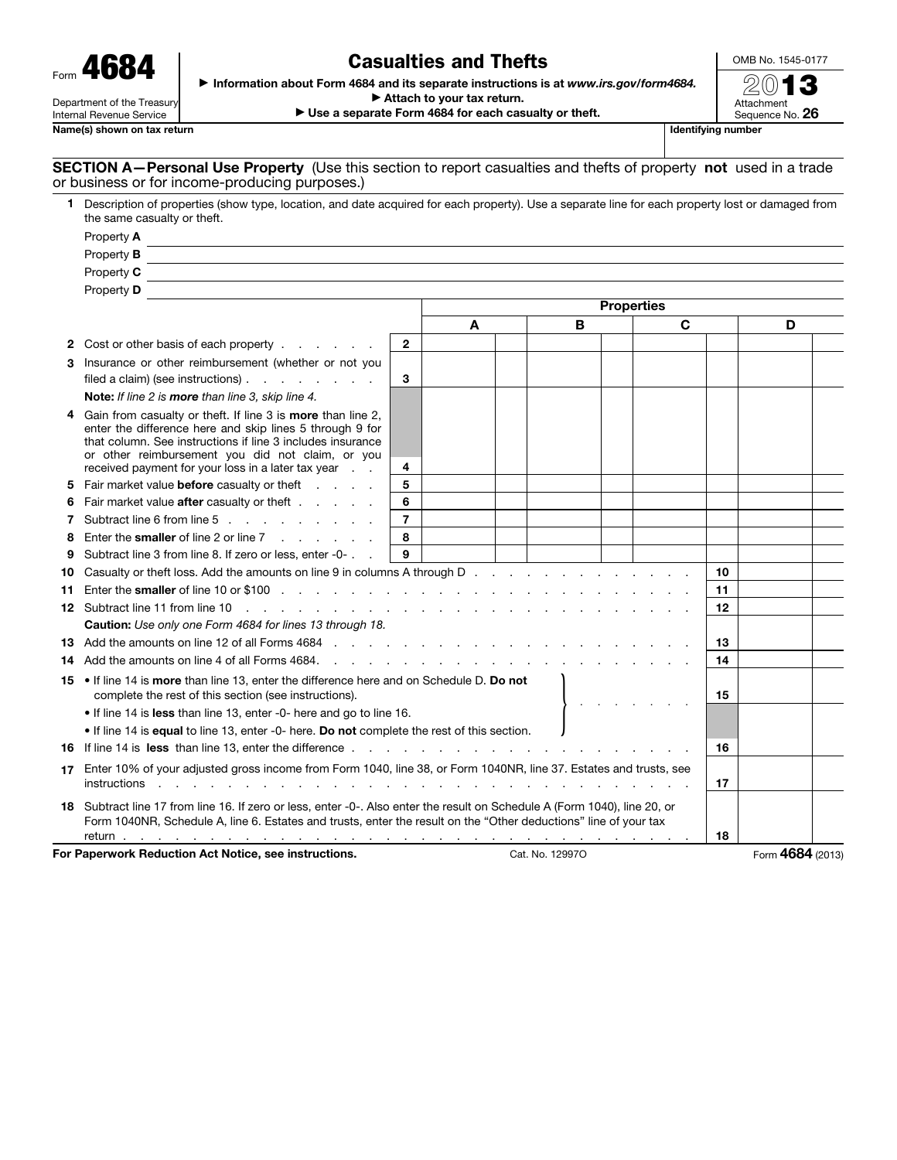| Form " | 4684                       |
|--------|----------------------------|
|        | Department of the Treasury |

Internal Revenue Service

Name(s) shown on tax return

## Casualties and Thefts

OMB No. 1545-0177 2013

Attachment

▶ Information about Form 4684 and its separate instructions is at *www.irs.gov/form4684.* 

▶ Attach to your tax return.

▶ Use a separate Form 4684 for each casualty or theft.

Sequence No. 26

## SECTION A-Personal Use Property (Use this section to report casualties and thefts of property not used in a trade or business or for income-producing purposes.)

| 1.                                                                              | Description of properties (show type, location, and date acquired for each property). Use a separate line for each property lost or damaged from<br>the same casualty or theft.                                                                                                                        |                |                   |  |    |    |    |    |   |  |  |
|---------------------------------------------------------------------------------|--------------------------------------------------------------------------------------------------------------------------------------------------------------------------------------------------------------------------------------------------------------------------------------------------------|----------------|-------------------|--|----|----|----|----|---|--|--|
|                                                                                 | Property A                                                                                                                                                                                                                                                                                             |                |                   |  |    |    |    |    |   |  |  |
|                                                                                 | Property <b>B</b>                                                                                                                                                                                                                                                                                      |                |                   |  |    |    |    |    |   |  |  |
|                                                                                 | Property C                                                                                                                                                                                                                                                                                             |                |                   |  |    |    |    |    |   |  |  |
|                                                                                 | Property <b>D</b>                                                                                                                                                                                                                                                                                      |                |                   |  |    |    |    |    |   |  |  |
|                                                                                 |                                                                                                                                                                                                                                                                                                        |                | <b>Properties</b> |  |    |    |    |    |   |  |  |
|                                                                                 |                                                                                                                                                                                                                                                                                                        |                | C<br>B<br>A       |  |    |    |    |    | D |  |  |
|                                                                                 | 2 Cost or other basis of each property                                                                                                                                                                                                                                                                 | $\overline{2}$ |                   |  |    |    |    |    |   |  |  |
|                                                                                 | 3 Insurance or other reimbursement (whether or not you                                                                                                                                                                                                                                                 |                |                   |  |    |    |    |    |   |  |  |
|                                                                                 | filed a claim) (see instructions) $\ldots$ $\ldots$ $\ldots$                                                                                                                                                                                                                                           | 3              |                   |  |    |    |    |    |   |  |  |
|                                                                                 | Note: If line 2 is more than line 3, skip line 4.                                                                                                                                                                                                                                                      |                |                   |  |    |    |    |    |   |  |  |
|                                                                                 | Gain from casualty or theft. If line 3 is <b>more</b> than line 2,<br>enter the difference here and skip lines 5 through 9 for<br>that column. See instructions if line 3 includes insurance<br>or other reimbursement you did not claim, or you<br>received payment for your loss in a later tax year | 4              |                   |  |    |    |    |    |   |  |  |
|                                                                                 | 5 Fair market value before casualty or theft                                                                                                                                                                                                                                                           | 5              |                   |  |    |    |    |    |   |  |  |
| 6                                                                               | Fair market value <b>after</b> casualty or theft                                                                                                                                                                                                                                                       | 6              |                   |  |    |    |    |    |   |  |  |
|                                                                                 | 7 Subtract line 6 from line 5                                                                                                                                                                                                                                                                          | $\overline{7}$ |                   |  |    |    |    |    |   |  |  |
| 8                                                                               | Enter the <b>smaller</b> of line 2 or line $7 \cdot \cdot \cdot \cdot \cdot$                                                                                                                                                                                                                           | 8              |                   |  |    |    |    |    |   |  |  |
| 9                                                                               | Subtract line 3 from line 8. If zero or less, enter -0-                                                                                                                                                                                                                                                | 9              |                   |  |    |    |    |    |   |  |  |
| Casualty or theft loss. Add the amounts on line 9 in columns A through D.<br>10 |                                                                                                                                                                                                                                                                                                        |                |                   |  |    | 10 |    |    |   |  |  |
|                                                                                 |                                                                                                                                                                                                                                                                                                        |                |                   |  |    |    | 11 |    |   |  |  |
|                                                                                 |                                                                                                                                                                                                                                                                                                        |                |                   |  |    |    | 12 |    |   |  |  |
|                                                                                 | Caution: Use only one Form 4684 for lines 13 through 18.                                                                                                                                                                                                                                               |                |                   |  |    |    |    |    |   |  |  |
|                                                                                 | 13 Add the amounts on line 12 of all Forms 4684                                                                                                                                                                                                                                                        |                |                   |  |    |    | 13 |    |   |  |  |
|                                                                                 | 14 Add the amounts on line 4 of all Forms 4684.<br>and the contract of the contract of the                                                                                                                                                                                                             |                |                   |  |    |    | 14 |    |   |  |  |
|                                                                                 | 15 . If line 14 is more than line 13, enter the difference here and on Schedule D. Do not<br>complete the rest of this section (see instructions).                                                                                                                                                     |                |                   |  | 15 |    |    |    |   |  |  |
|                                                                                 | • If line 14 is less than line 13, enter -0- here and go to line 16.                                                                                                                                                                                                                                   |                |                   |  |    |    |    |    |   |  |  |
|                                                                                 | • If line 14 is equal to line 13, enter -0- here. Do not complete the rest of this section.                                                                                                                                                                                                            |                |                   |  |    |    |    |    |   |  |  |
|                                                                                 | 16 If line 14 is less than line 13, enter the difference.<br>$\frac{1}{2}$ , $\frac{1}{2}$ , $\frac{1}{2}$ , $\frac{1}{2}$ , $\frac{1}{2}$ , $\frac{1}{2}$ , $\frac{1}{2}$ , $\frac{1}{2}$ , $\frac{1}{2}$ , $\frac{1}{2}$                                                                             |                |                   |  |    | 16 |    |    |   |  |  |
|                                                                                 | 17 Enter 10% of your adjusted gross income from Form 1040, line 38, or Form 1040NR, line 37. Estates and trusts, see<br>instructions                                                                                                                                                                   |                |                   |  |    |    |    | 17 |   |  |  |
|                                                                                 | 18 Subtract line 17 from line 16. If zero or less, enter -0-. Also enter the result on Schedule A (Form 1040), line 20, or<br>Form 1040NR, Schedule A, line 6. Estates and trusts, enter the result on the "Other deductions" line of your tax<br>return <u>.</u>                                      |                |                   |  |    |    |    | 18 |   |  |  |

For Paperwork Reduction Act Notice, see instructions. Cat. No. 129970 Cat. No. 129970 Form 4684 (2013)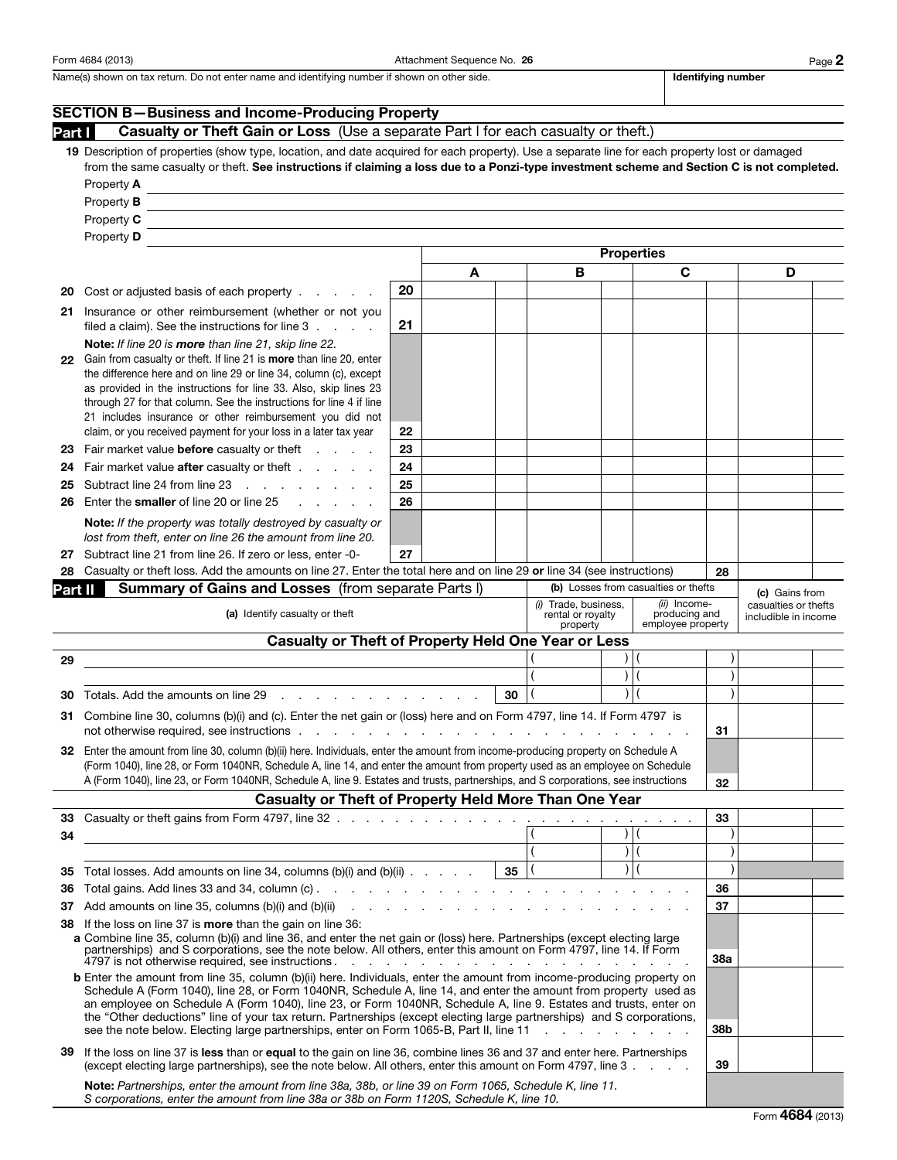Form 4684 (2013) **Attachment Sequence No. 26** Page 2

Name(s) shown on tax return. Do not enter name and identifying number if shown on other side. **Intermal and identifying number** 

|                                                                                                                                                                                                             | <b>SECTION B-Business and Income-Producing Property</b>                                                                                                                                                                                                                                                                                                                                                                                                                                                                                                                                                                           |          |    |   |                            |                         |                                              |   |  |
|-------------------------------------------------------------------------------------------------------------------------------------------------------------------------------------------------------------|-----------------------------------------------------------------------------------------------------------------------------------------------------------------------------------------------------------------------------------------------------------------------------------------------------------------------------------------------------------------------------------------------------------------------------------------------------------------------------------------------------------------------------------------------------------------------------------------------------------------------------------|----------|----|---|----------------------------|-------------------------|----------------------------------------------|---|--|
| Part I                                                                                                                                                                                                      | Casualty or Theft Gain or Loss (Use a separate Part I for each casualty or theft.)                                                                                                                                                                                                                                                                                                                                                                                                                                                                                                                                                |          |    |   |                            |                         |                                              |   |  |
|                                                                                                                                                                                                             | 19 Description of properties (show type, location, and date acquired for each property). Use a separate line for each property lost or damaged<br>from the same casualty or theft. See instructions if claiming a loss due to a Ponzi-type investment scheme and Section C is not completed.                                                                                                                                                                                                                                                                                                                                      |          |    |   |                            |                         |                                              |   |  |
|                                                                                                                                                                                                             | Property A<br>Property <b>B</b>                                                                                                                                                                                                                                                                                                                                                                                                                                                                                                                                                                                                   |          |    |   |                            |                         |                                              |   |  |
|                                                                                                                                                                                                             | Property C                                                                                                                                                                                                                                                                                                                                                                                                                                                                                                                                                                                                                        |          |    |   |                            |                         |                                              |   |  |
|                                                                                                                                                                                                             | Property D                                                                                                                                                                                                                                                                                                                                                                                                                                                                                                                                                                                                                        |          |    |   |                            |                         |                                              |   |  |
|                                                                                                                                                                                                             |                                                                                                                                                                                                                                                                                                                                                                                                                                                                                                                                                                                                                                   |          |    |   |                            | <b>Properties</b>       |                                              |   |  |
|                                                                                                                                                                                                             |                                                                                                                                                                                                                                                                                                                                                                                                                                                                                                                                                                                                                                   |          | A  | B |                            | C                       |                                              | D |  |
| 20                                                                                                                                                                                                          | Cost or adjusted basis of each property                                                                                                                                                                                                                                                                                                                                                                                                                                                                                                                                                                                           | 20       |    |   |                            |                         |                                              |   |  |
|                                                                                                                                                                                                             | 21 Insurance or other reimbursement (whether or not you<br>filed a claim). See the instructions for line 3                                                                                                                                                                                                                                                                                                                                                                                                                                                                                                                        | 21       |    |   |                            |                         |                                              |   |  |
| 22                                                                                                                                                                                                          | Note: If line 20 is more than line 21, skip line 22.<br>Gain from casualty or theft. If line 21 is more than line 20, enter<br>the difference here and on line 29 or line 34, column (c), except<br>as provided in the instructions for line 33. Also, skip lines 23<br>through 27 for that column. See the instructions for line 4 if line<br>21 includes insurance or other reimbursement you did not                                                                                                                                                                                                                           |          |    |   |                            |                         |                                              |   |  |
|                                                                                                                                                                                                             | claim, or you received payment for your loss in a later tax year                                                                                                                                                                                                                                                                                                                                                                                                                                                                                                                                                                  | 22       |    |   |                            |                         |                                              |   |  |
| 23                                                                                                                                                                                                          | Fair market value before casualty or theft<br>and the control of                                                                                                                                                                                                                                                                                                                                                                                                                                                                                                                                                                  | 23       |    |   |                            |                         |                                              |   |  |
| 24                                                                                                                                                                                                          | Fair market value after casualty or theft                                                                                                                                                                                                                                                                                                                                                                                                                                                                                                                                                                                         | 24       |    |   |                            |                         |                                              |   |  |
| 25<br>26                                                                                                                                                                                                    | Subtract line 24 from line 23<br><b>Contract Contract</b><br>Enter the smaller of line 20 or line 25                                                                                                                                                                                                                                                                                                                                                                                                                                                                                                                              | 25<br>26 |    |   |                            |                         |                                              |   |  |
|                                                                                                                                                                                                             | Note: If the property was totally destroyed by casualty or<br>lost from theft, enter on line 26 the amount from line 20.                                                                                                                                                                                                                                                                                                                                                                                                                                                                                                          |          |    |   |                            |                         |                                              |   |  |
| 27                                                                                                                                                                                                          | Subtract line 21 from line 26. If zero or less, enter -0-                                                                                                                                                                                                                                                                                                                                                                                                                                                                                                                                                                         | 27       |    |   |                            |                         |                                              |   |  |
| 28                                                                                                                                                                                                          | Casualty or theft loss. Add the amounts on line 27. Enter the total here and on line 29 or line 34 (see instructions)                                                                                                                                                                                                                                                                                                                                                                                                                                                                                                             |          |    |   |                            |                         |                                              |   |  |
|                                                                                                                                                                                                             | <b>Summary of Gains and Losses (from separate Parts I)</b><br>(b) Losses from casualties or thefts<br>Part II                                                                                                                                                                                                                                                                                                                                                                                                                                                                                                                     |          |    |   |                            |                         | (c) Gains from                               |   |  |
| (ii) Income-<br>(i) Trade, business,<br>(a) Identify casualty or theft<br>rental or royalty<br>producing and<br>employee property<br>property<br><b>Casualty or Theft of Property Held One Year or Less</b> |                                                                                                                                                                                                                                                                                                                                                                                                                                                                                                                                                                                                                                   |          |    |   |                            |                         | casualties or thefts<br>includible in income |   |  |
|                                                                                                                                                                                                             |                                                                                                                                                                                                                                                                                                                                                                                                                                                                                                                                                                                                                                   |          |    |   |                            |                         |                                              |   |  |
| 29                                                                                                                                                                                                          |                                                                                                                                                                                                                                                                                                                                                                                                                                                                                                                                                                                                                                   |          |    |   | $\mathcal{L}$<br>$\lambda$ |                         |                                              |   |  |
| 30                                                                                                                                                                                                          | 30                                                                                                                                                                                                                                                                                                                                                                                                                                                                                                                                                                                                                                |          |    |   |                            |                         |                                              |   |  |
|                                                                                                                                                                                                             | Totals. Add the amounts on line 29<br>$\mathbf{r}$ . The set of the set of the set of the set of the set of the set of the set of the set of the set of the set of the set of the set of the set of the set of the set of the set of the set of the set of the set of t                                                                                                                                                                                                                                                                                                                                                           |          |    |   |                            |                         |                                              |   |  |
|                                                                                                                                                                                                             | Combine line 30, columns (b)(i) and (c). Enter the net gain or (loss) here and on Form 4797, line 14. If Form 4797 is<br>31.<br>not otherwise required, see instructions                                                                                                                                                                                                                                                                                                                                                                                                                                                          |          |    |   |                            |                         | 31                                           |   |  |
| 32                                                                                                                                                                                                          | Enter the amount from line 30, column (b)(ii) here. Individuals, enter the amount from income-producing property on Schedule A<br>(Form 1040), line 28, or Form 1040NR, Schedule A, line 14, and enter the amount from property used as an employee on Schedule<br>A (Form 1040), line 23, or Form 1040NR, Schedule A, line 9. Estates and trusts, partnerships, and S corporations, see instructions                                                                                                                                                                                                                             |          |    |   |                            |                         |                                              |   |  |
|                                                                                                                                                                                                             | <b>Casualty or Theft of Property Held More Than One Year</b>                                                                                                                                                                                                                                                                                                                                                                                                                                                                                                                                                                      |          |    |   |                            |                         | 32                                           |   |  |
|                                                                                                                                                                                                             |                                                                                                                                                                                                                                                                                                                                                                                                                                                                                                                                                                                                                                   |          |    |   |                            |                         | 33                                           |   |  |
| 34                                                                                                                                                                                                          | and the control of the control of the control of the control of the control of the control of the control of the                                                                                                                                                                                                                                                                                                                                                                                                                                                                                                                  |          |    |   |                            |                         |                                              |   |  |
|                                                                                                                                                                                                             |                                                                                                                                                                                                                                                                                                                                                                                                                                                                                                                                                                                                                                   |          |    |   |                            | $\overline{\big) \big $ |                                              |   |  |
| 35                                                                                                                                                                                                          | Total losses. Add amounts on line 34, columns $(b)(i)$ and $(b)(ii)$                                                                                                                                                                                                                                                                                                                                                                                                                                                                                                                                                              |          | 35 |   |                            | $\vert$ (               |                                              |   |  |
| 36                                                                                                                                                                                                          |                                                                                                                                                                                                                                                                                                                                                                                                                                                                                                                                                                                                                                   |          |    |   |                            |                         | 36                                           |   |  |
| 37                                                                                                                                                                                                          | Add amounts on line 35, columns (b)(i) and (b)(ii) $\cdots$ $\cdots$ $\cdots$ $\cdots$ $\cdots$ $\cdots$ $\cdots$                                                                                                                                                                                                                                                                                                                                                                                                                                                                                                                 |          |    |   |                            |                         | 37                                           |   |  |
| 38                                                                                                                                                                                                          | If the loss on line 37 is <b>more</b> than the gain on line 36:<br>a Combine line 35, column (b)(i) and line 36, and enter the net gain or (loss) here. Partnerships (except electing large<br>partnerships) and S corporations, see the note below. All others, enter this amount on Form 4797, line 14. If Form<br>4797 is not otherwise required, see instructions.<br>the contract of the contract of the contract of the contract of the contract of the contract of the contract of                                                                                                                                         |          |    |   |                            | 38a                     |                                              |   |  |
|                                                                                                                                                                                                             | <b>b</b> Enter the amount from line 35, column (b)(ii) here. Individuals, enter the amount from income-producing property on<br>Schedule A (Form 1040), line 28, or Form 1040NR, Schedule A, line 14, and enter the amount from property used as<br>an employee on Schedule A (Form 1040), line 23, or Form 1040NR, Schedule A, line 9. Estates and trusts, enter on<br>the "Other deductions" line of your tax return. Partnerships (except electing large partnerships) and S corporations,<br>see the note below. Electing large partnerships, enter on Form 1065-B, Part II, line 11<br>and the company of the company of the |          |    |   |                            | 38b                     |                                              |   |  |
| 39                                                                                                                                                                                                          | If the loss on line 37 is less than or equal to the gain on line 36, combine lines 36 and 37 and enter here. Partnerships<br>(except electing large partnerships), see the note below. All others, enter this amount on Form 4797, line 3                                                                                                                                                                                                                                                                                                                                                                                         |          |    |   |                            |                         | 39                                           |   |  |
|                                                                                                                                                                                                             | Note: Partnerships, enter the amount from line 38a, 38b, or line 39 on Form 1065, Schedule K, line 11.<br>S corporations, enter the amount from line 38a or 38b on Form 1120S, Schedule K, line 10.                                                                                                                                                                                                                                                                                                                                                                                                                               |          |    |   |                            |                         |                                              |   |  |